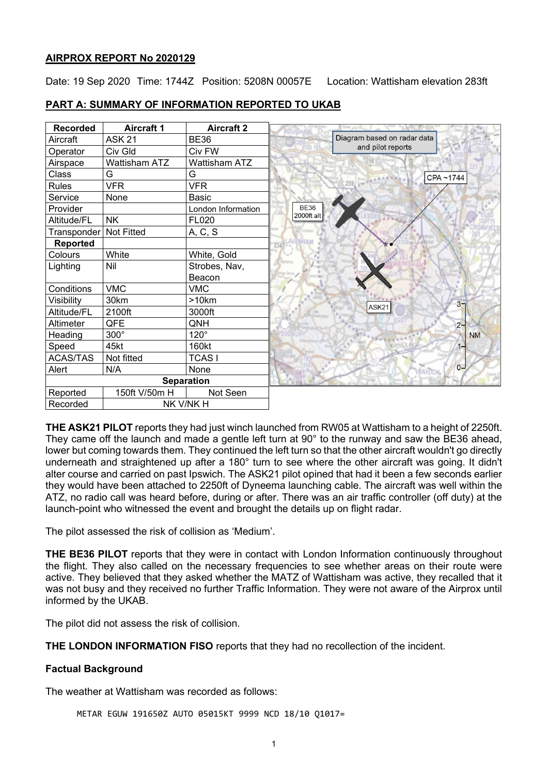## **AIRPROX REPORT No 2020129**

Date: 19 Sep 2020 Time: 1744Z Position: 5208N 00057E Location: Wattisham elevation 283ft

| <b>Recorded</b>          | <b>Aircraft 1</b>    | <b>Aircraft 2</b>  |                             |
|--------------------------|----------------------|--------------------|-----------------------------|
| Aircraft                 | <b>ASK 21</b>        | <b>BE36</b>        | Diagram based on radar data |
| Operator                 | Civ Gld              | Civ FW             | and pilot reports           |
| Airspace                 | <b>Wattisham ATZ</b> | Wattisham ATZ      |                             |
| Class                    | G                    | G                  | CPA~1744                    |
| <b>Rules</b>             | <b>VFR</b>           | VFR                |                             |
| Service                  | None                 | <b>Basic</b>       |                             |
| Provider                 |                      | London Information | <b>BE36</b>                 |
| Altitude/FL              | <b>NK</b>            | <b>FL020</b>       | 2000ft alt                  |
| Transponder   Not Fitted |                      | A, C, S            |                             |
| Reported                 |                      |                    |                             |
| Colours                  | White                | White, Gold        |                             |
| Lighting                 | Nil                  | Strobes, Nav,      |                             |
|                          |                      | Beacon             |                             |
| Conditions               | <b>VMC</b>           | <b>VMC</b>         |                             |
| Visibility               | 30km                 | >10km              | $3 -$<br>ASK21              |
| Altitude/FL              | 2100ft               | 3000ft             |                             |
| Altimeter                | QFE                  | QNH                | $2 -$                       |
| Heading                  | $300^\circ$          | $120^\circ$        | <b>NM</b>                   |
| Speed                    | 45kt                 | 160kt              | $1 -$                       |
| <b>ACAS/TAS</b>          | Not fitted           | <b>TCASI</b>       |                             |
| Alert                    | N/A                  | None               | $0 -$<br><b>RAYDON</b>      |
|                          |                      | <b>Separation</b>  |                             |
| Reported                 | 150ft V/50m H        | Not Seen           |                             |
| Recorded                 | NK V/NK H            |                    |                             |

# **PART A: SUMMARY OF INFORMATION REPORTED TO UKAB**

**THE ASK21 PILOT** reports they had just winch launched from RW05 at Wattisham to a height of 2250ft. They came off the launch and made a gentle left turn at 90° to the runway and saw the BE36 ahead, lower but coming towards them. They continued the left turn so that the other aircraft wouldn't go directly underneath and straightened up after a 180° turn to see where the other aircraft was going. It didn't alter course and carried on past Ipswich. The ASK21 pilot opined that had it been a few seconds earlier they would have been attached to 2250ft of Dyneema launching cable. The aircraft was well within the ATZ, no radio call was heard before, during or after. There was an air traffic controller (off duty) at the launch-point who witnessed the event and brought the details up on flight radar.

The pilot assessed the risk of collision as 'Medium'.

**THE BE36 PILOT** reports that they were in contact with London Information continuously throughout the flight. They also called on the necessary frequencies to see whether areas on their route were active. They believed that they asked whether the MATZ of Wattisham was active, they recalled that it was not busy and they received no further Traffic Information. They were not aware of the Airprox until informed by the UKAB.

The pilot did not assess the risk of collision.

**THE LONDON INFORMATION FISO** reports that they had no recollection of the incident.

# **Factual Background**

The weather at Wattisham was recorded as follows:

METAR EGUW 191650Z AUTO 05015KT 9999 NCD 18/10 Q1017=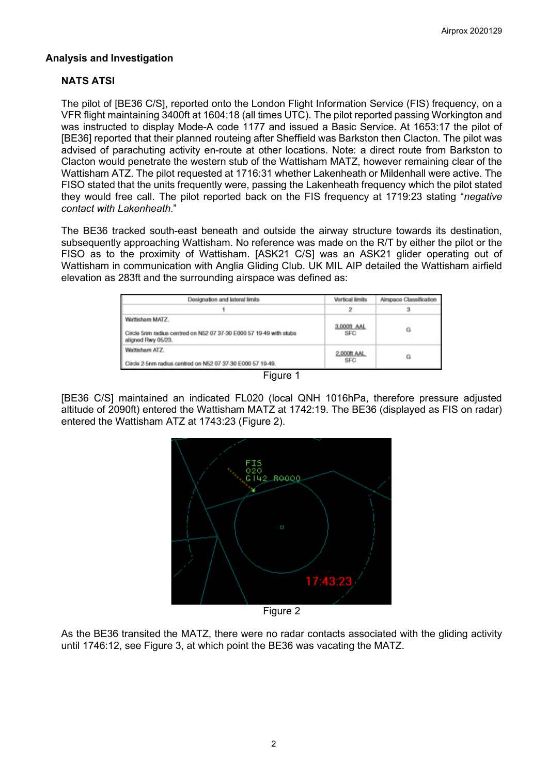# **Analysis and Investigation**

# **NATS ATSI**

The pilot of [BE36 C/S], reported onto the London Flight Information Service (FIS) frequency, on a VFR flight maintaining 3400ft at 1604:18 (all times UTC). The pilot reported passing Workington and was instructed to display Mode-A code 1177 and issued a Basic Service. At 1653:17 the pilot of [BE36] reported that their planned routeing after Sheffield was Barkston then Clacton. The pilot was advised of parachuting activity en-route at other locations. Note: a direct route from Barkston to Clacton would penetrate the western stub of the Wattisham MATZ, however remaining clear of the Wattisham ATZ. The pilot requested at 1716:31 whether Lakenheath or Mildenhall were active. The FISO stated that the units frequently were, passing the Lakenheath frequency which the pilot stated they would free call. The pilot reported back on the FIS frequency at 1719:23 stating "*negative contact with Lakenheath*."

The BE36 tracked south-east beneath and outside the airway structure towards its destination, subsequently approaching Wattisham. No reference was made on the R/T by either the pilot or the FISO as to the proximity of Wattisham. [ASK21 C/S] was an ASK21 glider operating out of Wattisham in communication with Anglia Gliding Club. UK MIL AIP detailed the Wattisham airfield elevation as 283ft and the surrounding airspace was defined as:

| Designation and lateral limits                                                                              | <b>Vortical limits</b>    | Airspace Classification |
|-------------------------------------------------------------------------------------------------------------|---------------------------|-------------------------|
|                                                                                                             |                           |                         |
| Wattisham MATZ.<br>Circle 5nm radius centred on N52 07 37-30 E000 57 19-49 with stubs<br>aligned Rwy 05/23. | 3,000ft AAL<br><b>SFC</b> | G                       |
| Wattisham ATZ.<br>Circle 2-5nm radius centred on N52 07 37-30 E000 57 19-49.                                | 2,000ft AAL<br><b>SFC</b> | G                       |



[BE36 C/S] maintained an indicated FL020 (local QNH 1016hPa, therefore pressure adjusted altitude of 2090ft) entered the Wattisham MATZ at 1742:19. The BE36 (displayed as FIS on radar) entered the Wattisham ATZ at 1743:23 (Figure 2).



Figure 2

As the BE36 transited the MATZ, there were no radar contacts associated with the gliding activity until 1746:12, see Figure 3, at which point the BE36 was vacating the MATZ.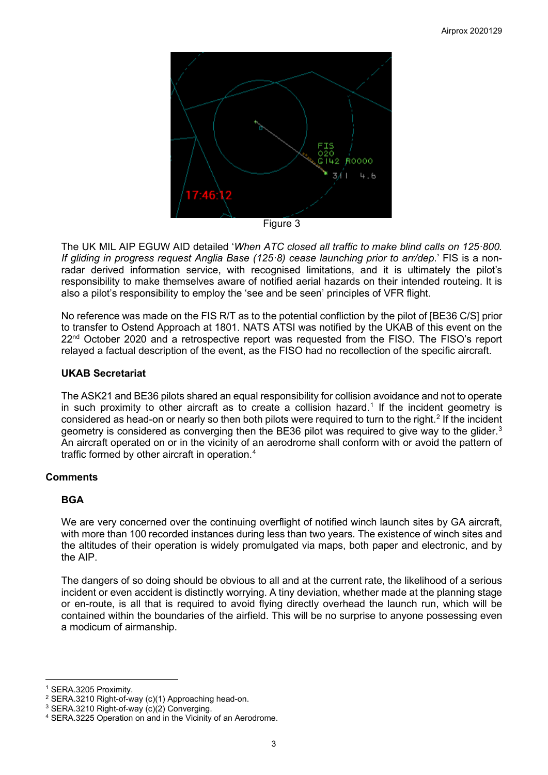

Figure 3

The UK MIL AIP EGUW AID detailed '*When ATC closed all traffic to make blind calls on 125·800. If gliding in progress request Anglia Base (125·8) cease launching prior to arr/dep*.' FIS is a nonradar derived information service, with recognised limitations, and it is ultimately the pilot's responsibility to make themselves aware of notified aerial hazards on their intended routeing. It is also a pilot's responsibility to employ the 'see and be seen' principles of VFR flight.

No reference was made on the FIS R/T as to the potential confliction by the pilot of [BE36 C/S] prior to transfer to Ostend Approach at 1801. NATS ATSI was notified by the UKAB of this event on the 22<sup>nd</sup> October 2020 and a retrospective report was requested from the FISO. The FISO's report relayed a factual description of the event, as the FISO had no recollection of the specific aircraft.

# **UKAB Secretariat**

The ASK21 and BE36 pilots shared an equal responsibility for collision avoidance and not to operate in such proximity to other aircraft as to create a collision hazard. [1](#page-2-0) If the incident geometry is considered as head-on or nearly so then both pilots were required to turn to the right.<sup>[2](#page-2-1)</sup> If the incident geometry is considered as converging then the BE[3](#page-2-2)6 pilot was required to give way to the glider. $^3$ An aircraft operated on or in the vicinity of an aerodrome shall conform with or avoid the pattern of traffic formed by other aircraft in operation. [4](#page-2-3)

# **Comments**

# **BGA**

We are very concerned over the continuing overflight of notified winch launch sites by GA aircraft, with more than 100 recorded instances during less than two years. The existence of winch sites and the altitudes of their operation is widely promulgated via maps, both paper and electronic, and by the AIP.

The dangers of so doing should be obvious to all and at the current rate, the likelihood of a serious incident or even accident is distinctly worrying. A tiny deviation, whether made at the planning stage or en-route, is all that is required to avoid flying directly overhead the launch run, which will be contained within the boundaries of the airfield. This will be no surprise to anyone possessing even a modicum of airmanship.

<span id="page-2-0"></span><sup>1</sup> SERA.3205 Proximity.

<span id="page-2-1"></span><sup>&</sup>lt;sup>2</sup> SERA.3210 Right-of-way (c)(1) Approaching head-on.<br><sup>3</sup> SERA.3210 Right-of-way (c)(2) Converging.

<span id="page-2-2"></span>

<span id="page-2-3"></span><sup>&</sup>lt;sup>4</sup> SERA.3225 Operation on and in the Vicinity of an Aerodrome.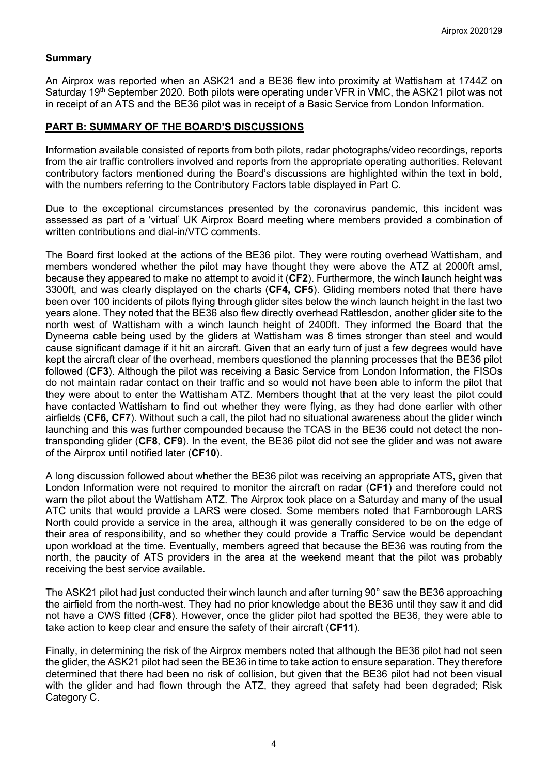## **Summary**

An Airprox was reported when an ASK21 and a BE36 flew into proximity at Wattisham at 1744Z on Saturday 19<sup>th</sup> September 2020. Both pilots were operating under VFR in VMC, the ASK21 pilot was not in receipt of an ATS and the BE36 pilot was in receipt of a Basic Service from London Information.

### **PART B: SUMMARY OF THE BOARD'S DISCUSSIONS**

Information available consisted of reports from both pilots, radar photographs/video recordings, reports from the air traffic controllers involved and reports from the appropriate operating authorities. Relevant contributory factors mentioned during the Board's discussions are highlighted within the text in bold, with the numbers referring to the Contributory Factors table displayed in Part C.

Due to the exceptional circumstances presented by the coronavirus pandemic, this incident was assessed as part of a 'virtual' UK Airprox Board meeting where members provided a combination of written contributions and dial-in/VTC comments.

The Board first looked at the actions of the BE36 pilot. They were routing overhead Wattisham, and members wondered whether the pilot may have thought they were above the ATZ at 2000ft amsl, because they appeared to make no attempt to avoid it (**CF2**). Furthermore, the winch launch height was 3300ft, and was clearly displayed on the charts (**CF4, CF5**). Gliding members noted that there have been over 100 incidents of pilots flying through glider sites below the winch launch height in the last two years alone. They noted that the BE36 also flew directly overhead Rattlesdon, another glider site to the north west of Wattisham with a winch launch height of 2400ft. They informed the Board that the Dyneema cable being used by the gliders at Wattisham was 8 times stronger than steel and would cause significant damage if it hit an aircraft. Given that an early turn of just a few degrees would have kept the aircraft clear of the overhead, members questioned the planning processes that the BE36 pilot followed (**CF3**). Although the pilot was receiving a Basic Service from London Information, the FISOs do not maintain radar contact on their traffic and so would not have been able to inform the pilot that they were about to enter the Wattisham ATZ. Members thought that at the very least the pilot could have contacted Wattisham to find out whether they were flying, as they had done earlier with other airfields (**CF6, CF7**). Without such a call, the pilot had no situational awareness about the glider winch launching and this was further compounded because the TCAS in the BE36 could not detect the nontransponding glider (**CF8**, **CF9**). In the event, the BE36 pilot did not see the glider and was not aware of the Airprox until notified later (**CF10**).

A long discussion followed about whether the BE36 pilot was receiving an appropriate ATS, given that London Information were not required to monitor the aircraft on radar (**CF1**) and therefore could not warn the pilot about the Wattisham ATZ. The Airprox took place on a Saturday and many of the usual ATC units that would provide a LARS were closed. Some members noted that Farnborough LARS North could provide a service in the area, although it was generally considered to be on the edge of their area of responsibility, and so whether they could provide a Traffic Service would be dependant upon workload at the time. Eventually, members agreed that because the BE36 was routing from the north, the paucity of ATS providers in the area at the weekend meant that the pilot was probably receiving the best service available.

The ASK21 pilot had just conducted their winch launch and after turning 90° saw the BE36 approaching the airfield from the north-west. They had no prior knowledge about the BE36 until they saw it and did not have a CWS fitted (**CF8**). However, once the glider pilot had spotted the BE36, they were able to take action to keep clear and ensure the safety of their aircraft (**CF11**).

Finally, in determining the risk of the Airprox members noted that although the BE36 pilot had not seen the glider, the ASK21 pilot had seen the BE36 in time to take action to ensure separation. They therefore determined that there had been no risk of collision, but given that the BE36 pilot had not been visual with the glider and had flown through the ATZ, they agreed that safety had been degraded; Risk Category C.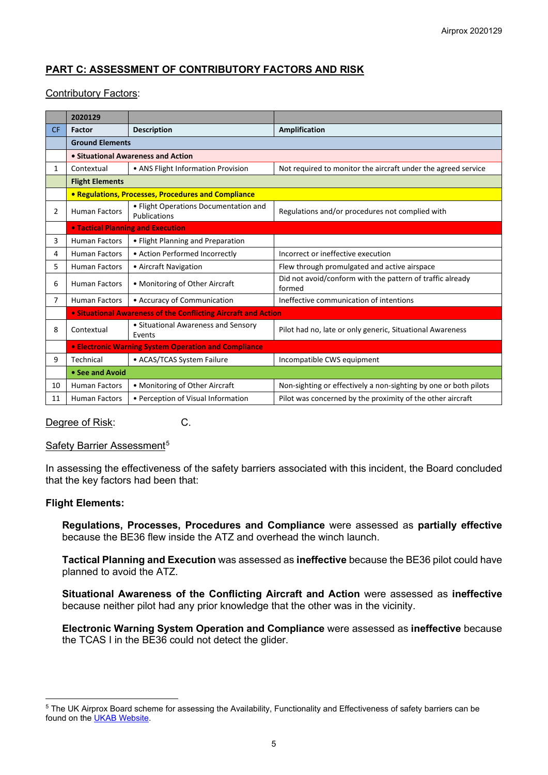# **PART C: ASSESSMENT OF CONTRIBUTORY FACTORS AND RISK**

# Contributory Factors:

|                | 2020129                                                        |                                                       |                                                                     |  |  |  |
|----------------|----------------------------------------------------------------|-------------------------------------------------------|---------------------------------------------------------------------|--|--|--|
| <b>CF</b>      | Factor                                                         | <b>Description</b>                                    | <b>Amplification</b>                                                |  |  |  |
|                | <b>Ground Elements</b>                                         |                                                       |                                                                     |  |  |  |
|                |                                                                | • Situational Awareness and Action                    |                                                                     |  |  |  |
| 1              | Contextual                                                     | • ANS Flight Information Provision                    | Not required to monitor the aircraft under the agreed service       |  |  |  |
|                | <b>Flight Elements</b>                                         |                                                       |                                                                     |  |  |  |
|                | • Regulations, Processes, Procedures and Compliance            |                                                       |                                                                     |  |  |  |
| 2              | <b>Human Factors</b>                                           | • Flight Operations Documentation and<br>Publications | Regulations and/or procedures not complied with                     |  |  |  |
|                | • Tactical Planning and Execution                              |                                                       |                                                                     |  |  |  |
| 3              | <b>Human Factors</b>                                           | • Flight Planning and Preparation                     |                                                                     |  |  |  |
| 4              | <b>Human Factors</b>                                           | • Action Performed Incorrectly                        | Incorrect or ineffective execution                                  |  |  |  |
| 5.             | <b>Human Factors</b>                                           | • Aircraft Navigation                                 | Flew through promulgated and active airspace                        |  |  |  |
| 6              | <b>Human Factors</b>                                           | • Monitoring of Other Aircraft                        | Did not avoid/conform with the pattern of traffic already<br>formed |  |  |  |
| $\overline{7}$ | <b>Human Factors</b>                                           | • Accuracy of Communication                           | Ineffective communication of intentions                             |  |  |  |
|                | • Situational Awareness of the Conflicting Aircraft and Action |                                                       |                                                                     |  |  |  |
| 8              | Contextual                                                     | • Situational Awareness and Sensory<br>Events         | Pilot had no, late or only generic, Situational Awareness           |  |  |  |
|                | • Electronic Warning System Operation and Compliance           |                                                       |                                                                     |  |  |  |
| 9              | Technical                                                      | • ACAS/TCAS System Failure                            | Incompatible CWS equipment                                          |  |  |  |
|                | • See and Avoid                                                |                                                       |                                                                     |  |  |  |
| 10             | <b>Human Factors</b>                                           | • Monitoring of Other Aircraft                        | Non-sighting or effectively a non-sighting by one or both pilots    |  |  |  |
| 11             | <b>Human Factors</b>                                           | • Perception of Visual Information                    | Pilot was concerned by the proximity of the other aircraft          |  |  |  |

### Degree of Risk: C.

### Safety Barrier Assessment<sup>[5](#page-4-0)</sup>

In assessing the effectiveness of the safety barriers associated with this incident, the Board concluded that the key factors had been that:

# **Flight Elements:**

**Regulations, Processes, Procedures and Compliance** were assessed as **partially effective** because the BE36 flew inside the ATZ and overhead the winch launch.

**Tactical Planning and Execution** was assessed as **ineffective** because the BE36 pilot could have planned to avoid the ATZ.

**Situational Awareness of the Conflicting Aircraft and Action** were assessed as **ineffective** because neither pilot had any prior knowledge that the other was in the vicinity.

**Electronic Warning System Operation and Compliance** were assessed as **ineffective** because the TCAS I in the BE36 could not detect the glider.

<span id="page-4-0"></span><sup>5</sup> The UK Airprox Board scheme for assessing the Availability, Functionality and Effectiveness of safety barriers can be found on the [UKAB Website.](http://www.airproxboard.org.uk/Learn-more/Airprox-Barrier-Assessment/)